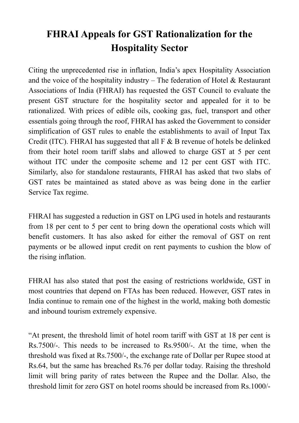## **FHRAI Appeals for GST Rationalization for the Hospitality Sector**

Citing the unprecedented rise in inflation, India's apex Hospitality Association and the voice of the hospitality industry – The federation of Hotel  $\&$  Restaurant Associations of India (FHRAI) has requested the GST Council to evaluate the present GST structure for the hospitality sector and appealed for it to be rationalized. With prices of edible oils, cooking gas, fuel, transport and other essentials going through the roof, FHRAI has asked the Government to consider simplification of GST rules to enable the establishments to avail of Input Tax Credit (ITC). FHRAI has suggested that all F & B revenue of hotels be delinked from their hotel room tariff slabs and allowed to charge GST at 5 per cent without ITC under the composite scheme and 12 per cent GST with ITC. Similarly, also for standalone restaurants, FHRAI has asked that two slabs of GST rates be maintained as stated above as was being done in the earlier Service Tax regime.

FHRAI has suggested a reduction in GST on LPG used in hotels and restaurants from 18 per cent to 5 per cent to bring down the operational costs which will benefit customers. It has also asked for either the removal of GST on rent payments or be allowed input credit on rent payments to cushion the blow of the rising inflation.

FHRAI has also stated that post the easing of restrictions worldwide, GST in most countries that depend on FTAs has been reduced. However, GST rates in India continue to remain one of the highest in the world, making both domestic and inbound tourism extremely expensive.

"At present, the threshold limit of hotel room tariff with GST at 18 per cent is Rs.7500/-. This needs to be increased to Rs.9500/-. At the time, when the threshold was fixed at Rs.7500/-, the exchange rate of Dollar per Rupee stood at Rs.64, but the same has breached Rs.76 per dollar today. Raising the threshold limit will bring parity of rates between the Rupee and the Dollar. Also, the threshold limit for zero GST on hotel rooms should be increased from Rs.1000/-